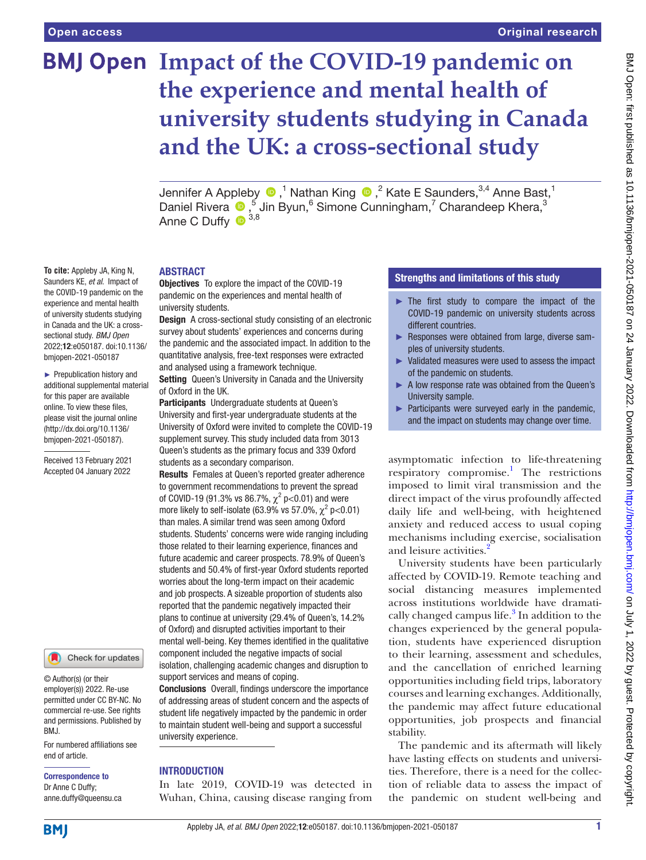**To cite:** Appleby JA, King N, Saunders KE, *et al*. Impact of the COVID-19 pandemic on the experience and mental health of university students studying in Canada and the UK: a crosssectional study. *BMJ Open* 2022;12:e050187. doi:10.1136/ bmjopen-2021-050187 ► Prepublication history and additional supplemental material for this paper are available online. To view these files, please visit the journal online [\(http://dx.doi.org/10.1136/](http://dx.doi.org/10.1136/bmjopen-2021-050187) [bmjopen-2021-050187](http://dx.doi.org/10.1136/bmjopen-2021-050187)). Received 13 February 2021 Accepted 04 January 2022

# **BMJ Open Impact of the COVID-19 pandemic on the experience and mental health of university students studying in Canada and the UK: a cross-sectional study**

JenniferA Appleby  $\bigcirc$  ,<sup>1</sup> Nathan King  $\bigcirc$  ,<sup>2</sup> Kate E Saunders,<sup>3,4</sup> Anne Bast,<sup>1</sup> DanielRivera  $\bullet$ ,<sup>5</sup> Jin Byun,<sup>6</sup> Simone Cunningham,<sup>7</sup> Charandeep Khera,<sup>3</sup> Anne C Duffy  $\bullet$  3,8

#### ABSTRACT

**Objectives** To explore the impact of the COVID-19 pandemic on the experiences and mental health of university students.

**Design** A cross-sectional study consisting of an electronic survey about students' experiences and concerns during the pandemic and the associated impact. In addition to the quantitative analysis, free-text responses were extracted and analysed using a framework technique.

Setting Queen's University in Canada and the University of Oxford in the UK.

Participants Undergraduate students at Queen's University and first-year undergraduate students at the University of Oxford were invited to complete the COVID-19 supplement survey. This study included data from 3013 Queen's students as the primary focus and 339 Oxford students as a secondary comparison.

Results Females at Queen's reported greater adherence to government recommendations to prevent the spread of COVID-19 (91.3% vs 86.7%,  $\chi^2$  p<0.01) and were more likely to self-isolate (63.9% vs 57.0%,  $\chi^2$  p<0.01) than males. A similar trend was seen among Oxford students. Students' concerns were wide ranging including those related to their learning experience, finances and future academic and career prospects. 78.9% of Queen's students and 50.4% of first-year Oxford students reported worries about the long-term impact on their academic and job prospects. A sizeable proportion of students also reported that the pandemic negatively impacted their plans to continue at university (29.4% of Queen's, 14.2% of Oxford) and disrupted activities important to their mental well-being. Key themes identified in the qualitative component included the negative impacts of social isolation, challenging academic changes and disruption to support services and means of coping.

Conclusions Overall, findings underscore the importance of addressing areas of student concern and the aspects of student life negatively impacted by the pandemic in order to maintain student well-being and support a successful university experience.

# **INTRODUCTION**

In late 2019, COVID-19 was detected in Wuhan, China, causing disease ranging from

#### Strengths and limitations of this study

- ► The first study to compare the impact of the COVID-19 pandemic on university students across different countries.
- ► Responses were obtained from large, diverse samples of university students.
- Validated measures were used to assess the impact of the pandemic on students.
- ► A low response rate was obtained from the Queen's University sample.
- ► Participants were surveyed early in the pandemic, and the impact on students may change over time.

asymptomatic infection to life-threatening respiratory compromise.<sup>1</sup> The restrictions imposed to limit viral transmission and the direct impact of the virus profoundly affected daily life and well-being, with heightened anxiety and reduced access to usual coping mechanisms including exercise, socialisation and leisure activities.<sup>[2](#page-11-1)</sup>

University students have been particularly affected by COVID-19. Remote teaching and social distancing measures implemented across institutions worldwide have dramati-cally changed campus life.<sup>[3](#page-11-2)</sup> In addition to the changes experienced by the general population, students have experienced disruption to their learning, assessment and schedules, and the cancellation of enriched learning opportunities including field trips, laboratory courses and learning exchanges. Additionally, the pandemic may affect future educational opportunities, job prospects and financial stability.

The pandemic and its aftermath will likely have lasting effects on students and universities. Therefore, there is a need for the collection of reliable data to assess the impact of the pandemic on student well-being and

and permissions. Published by BMJ.

© Author(s) (or their employer(s)) 2022. Re-use permitted under CC BY-NC. No commercial re-use. See rights

Check for updates

For numbered affiliations see end of article.

Correspondence to Dr Anne C Duffy; anne.duffy@queensu.ca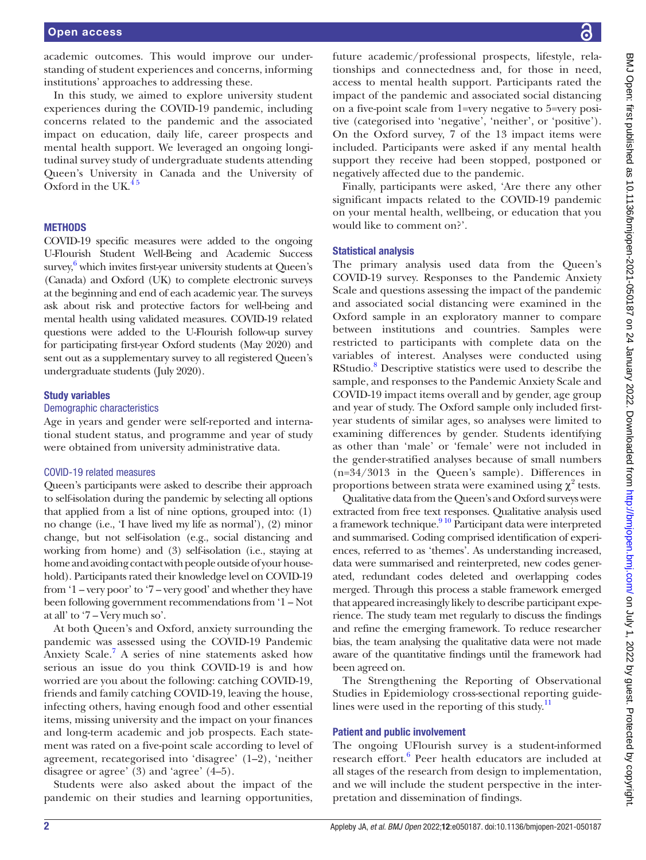academic outcomes. This would improve our understanding of student experiences and concerns, informing institutions' approaches to addressing these.

In this study, we aimed to explore university student experiences during the COVID-19 pandemic, including concerns related to the pandemic and the associated impact on education, daily life, career prospects and mental health support. We leveraged an ongoing longitudinal survey study of undergraduate students attending Queen's University in Canada and the University of Oxford in the UK. $45$ 

#### **METHODS**

COVID-19 specific measures were added to the ongoing U-Flourish Student Well-Being and Academic Success survey,<sup>[6](#page-12-0)</sup> which invites first-year university students at Queen's (Canada) and Oxford (UK) to complete electronic surveys at the beginning and end of each academic year. The surveys ask about risk and protective factors for well-being and mental health using validated measures. COVID-19 related questions were added to the U-Flourish follow-up survey for participating first-year Oxford students (May 2020) and sent out as a supplementary survey to all registered Queen's undergraduate students (July 2020).

# Study variables

#### Demographic characteristics

Age in years and gender were self-reported and international student status, and programme and year of study were obtained from university administrative data.

#### COVID-19 related measures

Queen's participants were asked to describe their approach to self-isolation during the pandemic by selecting all options that applied from a list of nine options, grouped into: (1) no change (i.e., 'I have lived my life as normal'), (2) minor change, but not self-isolation (e.g., social distancing and working from home) and (3) self-isolation (i.e., staying at home and avoiding contact with people outside of your household). Participants rated their knowledge level on COVID-19 from '1 – very poor' to '7 – very good' and whether they have been following government recommendations from '1 – Not at all' to '7 – Very much so'.

At both Queen's and Oxford, anxiety surrounding the pandemic was assessed using the COVID-19 Pandemic Anxiety Scale.<sup>[7](#page-12-1)</sup> A series of nine statements asked how serious an issue do you think COVID-19 is and how worried are you about the following: catching COVID-19, friends and family catching COVID-19, leaving the house, infecting others, having enough food and other essential items, missing university and the impact on your finances and long-term academic and job prospects. Each statement was rated on a five-point scale according to level of agreement, recategorised into 'disagree' (1–2), 'neither disagree or agree' (3) and 'agree' (4–5).

Students were also asked about the impact of the pandemic on their studies and learning opportunities,

future academic/professional prospects, lifestyle, relationships and connectedness and, for those in need, access to mental health support. Participants rated the impact of the pandemic and associated social distancing on a five-point scale from 1=very negative to 5=very positive (categorised into 'negative', 'neither', or 'positive'). On the Oxford survey, 7 of the 13 impact items were included. Participants were asked if any mental health support they receive had been stopped, postponed or negatively affected due to the pandemic.

Finally, participants were asked, 'Are there any other significant impacts related to the COVID-19 pandemic on your mental health, wellbeing, or education that you would like to comment on?'.

#### Statistical analysis

The primary analysis used data from the Queen's COVID-19 survey. Responses to the Pandemic Anxiety Scale and questions assessing the impact of the pandemic and associated social distancing were examined in the Oxford sample in an exploratory manner to compare between institutions and countries. Samples were restricted to participants with complete data on the variables of interest. Analyses were conducted using RStudio.<sup>[8](#page-12-2)</sup> Descriptive statistics were used to describe the sample, and responses to the Pandemic Anxiety Scale and COVID-19 impact items overall and by gender, age group and year of study. The Oxford sample only included firstyear students of similar ages, so analyses were limited to examining differences by gender. Students identifying as other than 'male' or 'female' were not included in the gender-stratified analyses because of small numbers (n=34/3013 in the Queen's sample). Differences in proportions between strata were examined using  $\chi^2$  tests.

Qualitative data from the Queen's and Oxford surveys were extracted from free text responses. Qualitative analysis used a framework technique.<sup>[9 10](#page-12-3)</sup> Participant data were interpreted and summarised. Coding comprised identification of experiences, referred to as 'themes'. As understanding increased, data were summarised and reinterpreted, new codes generated, redundant codes deleted and overlapping codes merged. Through this process a stable framework emerged that appeared increasingly likely to describe participant experience. The study team met regularly to discuss the findings and refine the emerging framework. To reduce researcher bias, the team analysing the qualitative data were not made aware of the quantitative findings until the framework had been agreed on.

The Strengthening the Reporting of Observational Studies in Epidemiology cross-sectional reporting guidelines were used in the reporting of this study. $\frac{11}{11}$  $\frac{11}{11}$  $\frac{11}{11}$ 

#### Patient and public involvement

The ongoing UFlourish survey is a student-informed research effort.<sup>6</sup> Peer health educators are included at all stages of the research from design to implementation, and we will include the student perspective in the interpretation and dissemination of findings.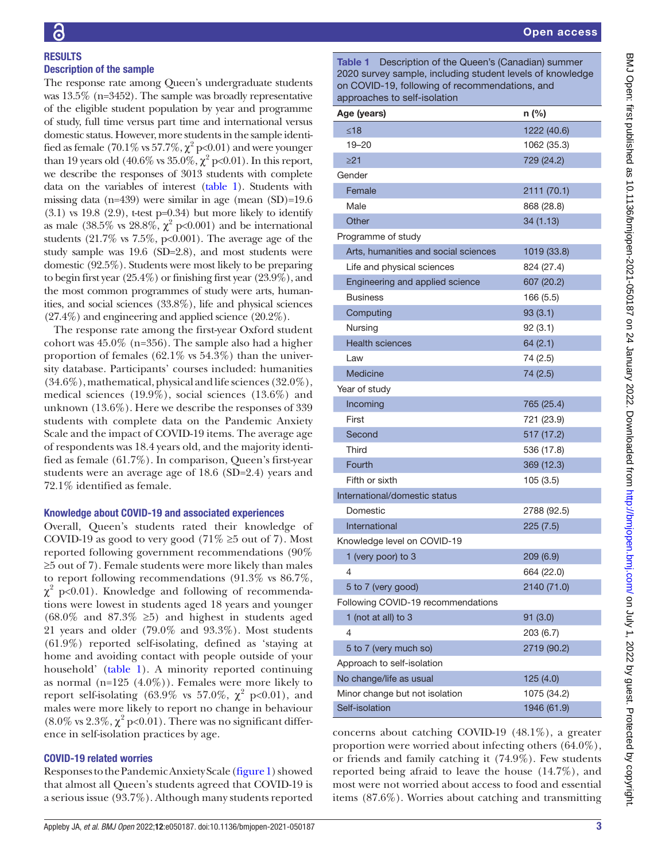# **RESULTS** Description of the sample

The response rate among Queen's undergraduate students was 13.5% (n=3452). The sample was broadly representative of the eligible student population by year and programme of study, full time versus part time and international versus domestic status. However, more students in the sample identified as female (70.1% vs 57.7%,  $\chi^2$  p<0.01) and were younger than 19 years old (40.6% vs  $35.0\%, \chi^2$  p<0.01). In this report, we describe the responses of 3013 students with complete data on the variables of interest [\(table](#page-2-0) 1). Students with missing data (n=439) were similar in age (mean (SD)=19.6  $(3.1)$  vs 19.8  $(2.9)$ , t-test p=0.34) but more likely to identify as male  $(38.5\% \text{ vs } 28.8\%, \chi^2 \text{ p} < 0.001)$  and be international students  $(21.7\% \text{ vs } 7.5\%, \text{ p<0.001}).$  The average age of the study sample was 19.6 (SD=2.8), and most students were domestic (92.5%). Students were most likely to be preparing to begin first year (25.4%) or finishing first year (23.9%), and the most common programmes of study were arts, humanities, and social sciences (33.8%), life and physical sciences (27.4%) and engineering and applied science (20.2%).

The response rate among the first-year Oxford student cohort was 45.0% (n=356). The sample also had a higher proportion of females (62.1% vs 54.3%) than the university database. Participants' courses included: humanities (34.6%), mathematical, physical and life sciences (32.0%), medical sciences (19.9%), social sciences (13.6%) and unknown (13.6%). Here we describe the responses of 339 students with complete data on the Pandemic Anxiety Scale and the impact of COVID-19 items. The average age of respondents was 18.4 years old, and the majority identified as female (61.7%). In comparison, Queen's first-year students were an average age of 18.6 (SD=2.4) years and 72.1% identified as female.

# Knowledge about COVID-19 and associated experiences

Overall, Queen's students rated their knowledge of COVID-19 as good to very good (71%  $\geq$ 5 out of 7). Most reported following government recommendations (90% ≥5 out of 7). Female students were more likely than males to report following recommendations (91.3% vs 86.7%,  $\chi^2$  p<0.01). Knowledge and following of recommendations were lowest in students aged 18 years and younger  $(68.0\%$  and  $87.3\% \ge 5)$  and highest in students aged 21 years and older (79.0% and 93.3%). Most students (61.9%) reported self-isolating, defined as 'staying at home and avoiding contact with people outside of your household' [\(table](#page-2-0) 1). A minority reported continuing as normal (n=125  $(4.0\%)$ ). Females were more likely to report self-isolating (63.9% vs 57.0%,  $\chi^2$  p<0.01), and males were more likely to report no change in behaviour  $(8.0\% \text{ vs } 2.3\%, \chi^2 \text{ p}<0.01)$ . There was no significant difference in self-isolation practices by age.

# COVID-19 related worries

Responses to the Pandemic Anxiety Scale (figure 1) showed that almost all Queen's students agreed that COVID-19 is a serious issue (93.7%). Although many students reported

<span id="page-2-0"></span>

| Age (years)                          | n (%)       |
|--------------------------------------|-------------|
| $≤18$                                | 1222 (40.6) |
| 19-20                                | 1062 (35.3) |
| $\geq$ 21                            | 729 (24.2)  |
| Gender                               |             |
| Female                               | 2111 (70.1) |
| Male                                 | 868 (28.8)  |
| Other                                | 34 (1.13)   |
| Programme of study                   |             |
| Arts, humanities and social sciences | 1019 (33.8) |
| Life and physical sciences           | 824 (27.4)  |
| Engineering and applied science      | 607 (20.2)  |
| <b>Business</b>                      | 166 (5.5)   |
| Computing                            | 93(3.1)     |
| Nursing                              | 92(3.1)     |
| <b>Health sciences</b>               | 64(2.1)     |
| Law                                  | 74 (2.5)    |
| <b>Medicine</b>                      | 74 (2.5)    |
| Year of study                        |             |
| Incoming                             | 765 (25.4)  |
| First                                | 721 (23.9)  |
| Second                               | 517 (17.2)  |
| Third                                | 536 (17.8)  |
| Fourth                               | 369 (12.3)  |
| Fifth or sixth                       | 105 (3.5)   |
| International/domestic status        |             |
| Domestic                             | 2788 (92.5) |
| International                        | 225(7.5)    |
| Knowledge level on COVID-19          |             |
| 1 (very poor) to 3                   | 209(6.9)    |
| 4                                    | 664 (22.0)  |
| 5 to 7 (very good)                   | 2140 (71.0) |
| Following COVID-19 recommendations   |             |
| 1 (not at all) to 3                  | 91(3.0)     |
| 4                                    | 203 (6.7)   |
| 5 to 7 (very much so)                | 2719 (90.2) |
| Approach to self-isolation           |             |
| No change/life as usual              | 125 (4.0)   |
| Minor change but not isolation       | 1075 (34.2) |
| Self-isolation                       | 1946 (61.9) |

concerns about catching COVID-19 (48.1%), a greater proportion were worried about infecting others (64.0%), or friends and family catching it (74.9%). Few students reported being afraid to leave the house (14.7%), and most were not worried about access to food and essential items (87.6%). Worries about catching and transmitting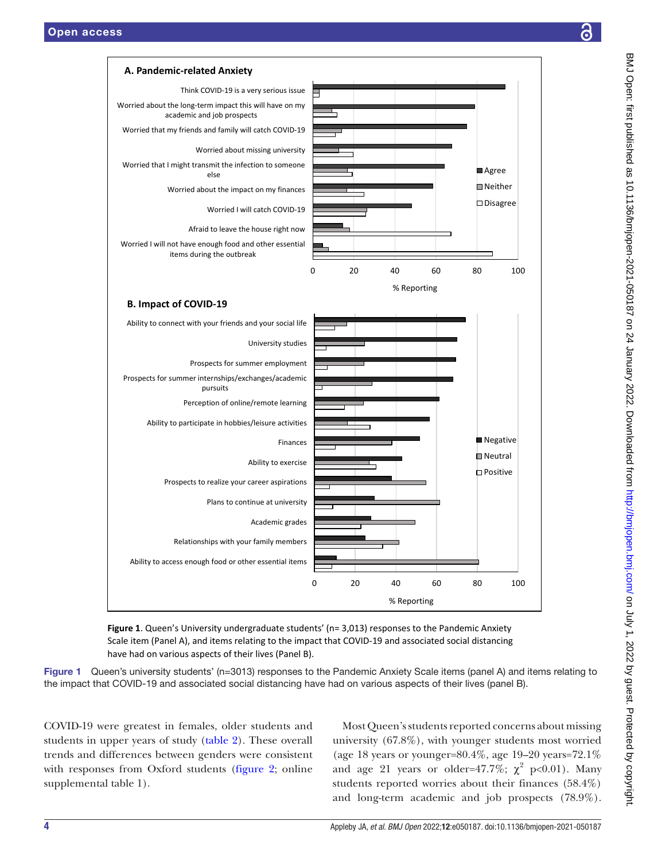

<span id="page-3-0"></span>**Figure 1**. Queen's University undergraduate students' (n= 3,013) responses to the Pandemic Anxiety Scale item (Panel A), and items relating to the impact that COVID-19 and associated social distancing have had on various aspects of their lives (Panel B).

Figure 1 Queen's university students' (n=3013) responses to the Pandemic Anxiety Scale items (panel A) and items relating to the impact that COVID-19 and associated social distancing have had on various aspects of their lives (panel B).

COVID-19 were greatest in females, older students and students in upper years of study [\(table](#page-4-0) 2). These overall trends and differences between genders were consistent with responses from Oxford students [\(figure](#page-6-0) 2; [online](https://dx.doi.org/10.1136/bmjopen-2021-050187) [supplemental table 1](https://dx.doi.org/10.1136/bmjopen-2021-050187)).

Most Queen's students reported concerns about missing university (67.8%), with younger students most worried (age 18 years or younger=80.4%, age 19–20 years=72.1% and age 21 years or older=47.7%;  $\chi^2$  p<0.01). Many students reported worries about their finances (58.4%) and long-term academic and job prospects (78.9%).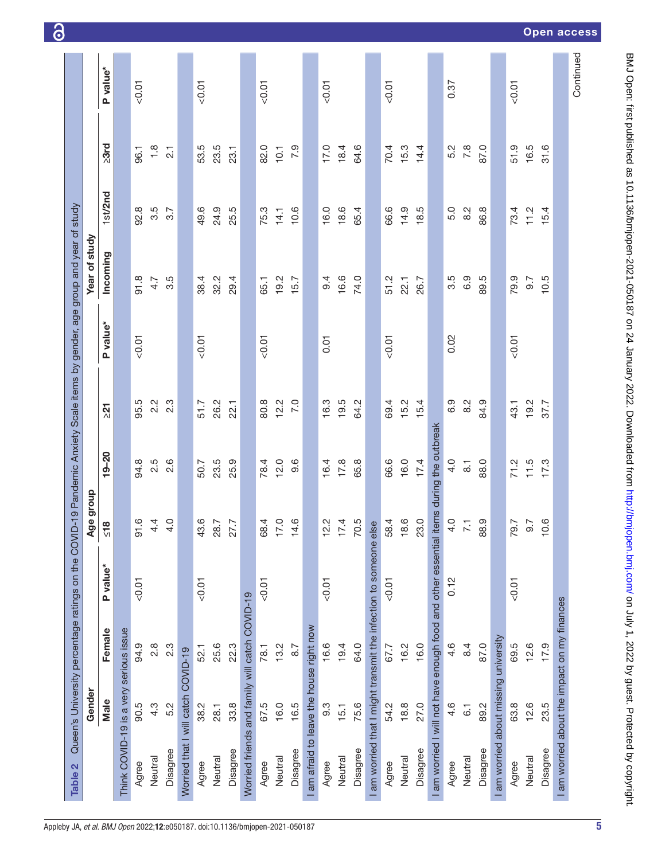| Worried that I will catch COVID-19<br>Male<br>4.3<br>5.2<br>90.5<br>38.2<br>28.1<br>Disagree<br>Neutral<br>Neutral<br>Agree<br>Agree | Female                                                                                 |          | Age group                              |                  |                  |          | Year of study |            |                  |          |
|--------------------------------------------------------------------------------------------------------------------------------------|----------------------------------------------------------------------------------------|----------|----------------------------------------|------------------|------------------|----------|---------------|------------|------------------|----------|
|                                                                                                                                      |                                                                                        | P value* | $\infty$<br><u>یا</u>                  | $19 - 20$        | $\overline{21}$  | P value* | Incoming      | $1st$ /2nd | $\geq 3$ rd      | P value* |
|                                                                                                                                      | Think COVID-19 is a very serious issue                                                 |          |                                        |                  |                  |          |               |            |                  |          |
|                                                                                                                                      | 94.9                                                                                   | 0.01     | ِ<br>$\overline{5}$                    | 94.8             | 95.5             | 0.01     | 91.8          | 92.8       | 96.1             | < 0.01   |
|                                                                                                                                      | $\frac{8}{2}$                                                                          |          | 4.<br>↴                                | 2.5              | $2.\overline{2}$ |          | 4.7           | 3.5        | 1.8              |          |
|                                                                                                                                      | $2.\overline{3}$                                                                       |          | O.                                     | 2.6              | 2.3              |          | 3.5           | 3.7        | $\overline{2.1}$ |          |
|                                                                                                                                      |                                                                                        |          |                                        |                  |                  |          |               |            |                  |          |
|                                                                                                                                      | 52.1                                                                                   | $-0.01$  | 43.6                                   | 50.7             | 51.7             | < 0.01   | 38.4          | 49.6       | 53.5             | < 0.01   |
|                                                                                                                                      | 25.6                                                                                   |          | 28.7                                   | 23.5             | 26.2             |          | 32.2          | 24.9       | 23.5             |          |
| 33.8<br>Disagree                                                                                                                     | 22.3                                                                                   |          | 27.7                                   | 25.9             | 22.1             |          | 29.4          | 25.5       | 23.1             |          |
|                                                                                                                                      | Worried friends and family will catch COVID-19                                         |          |                                        |                  |                  |          |               |            |                  |          |
| 67.5<br>Agree                                                                                                                        | 78.1                                                                                   | < 0.01   | 68.4                                   | 78.4             | 80.8             | < 0.01   | 65.1          | 75.3       | 82.0             | < 0.01   |
| 16.0<br>Neutral                                                                                                                      | 13.2                                                                                   |          | $\ddot{\circ}$<br>$\overline{1}$       | 12.0             | 12.2             |          | 19.2          | 14.1       | 10.1             |          |
| 16.5<br>Disagree                                                                                                                     | 8.7                                                                                    |          | $\ddot{\circ}$<br>$\frac{1}{4}$        | 9.6              | 7.0              |          | 15.7          | 10.6       | 7.9              |          |
|                                                                                                                                      | I am afraid to leave the house right now                                               |          |                                        |                  |                  |          |               |            |                  |          |
| თ.<br>თ<br>Agree                                                                                                                     | 16.6                                                                                   | $-0.01$  | $\tilde{\mathcal{C}}$<br>$\frac{1}{2}$ | 16.4             | 16.3             | 0.01     | 9.4           | 16.0       | 17.0             | < 0.01   |
| 15.1<br>Neutral                                                                                                                      | 19.4                                                                                   |          | $\dot{=}$<br>7T                        | 17.8             | 19.5             |          | 16.6          | 18.6       | 18.4             |          |
| 75.6<br>Disagree                                                                                                                     | 64.0                                                                                   |          | 70.5                                   | 65.8             | 64.2             |          | 74.0          | 65.4       | 64.6             |          |
|                                                                                                                                      | I am worried that I might transmit the infection to someone else                       |          |                                        |                  |                  |          |               |            |                  |          |
| 54.2<br>Agree                                                                                                                        | 67.7                                                                                   | $-0.01$  | 58.4                                   | 66.6             | 69.4             | < 0.01   | 51.2          | 66.6       | 70.4             | < 0.01   |
| 18.8<br>Neutral                                                                                                                      | 16.2                                                                                   |          | 18.6                                   | 16.0             | 15.2             |          | 22.1          | 14.9       | 15.3             |          |
| 27.0<br>Disagree                                                                                                                     | 16.0                                                                                   |          | 23.0                                   | 17.4             | 15.4             |          | 26.7          | 18.5       | 14.4             |          |
|                                                                                                                                      | I am worried I will not have enough food and other essential items during the outbreak |          |                                        |                  |                  |          |               |            |                  |          |
| 4.6<br>Agree                                                                                                                         | 4.6                                                                                    | 0.12     | 4.0                                    | 4.0              | 6.9              | 0.02     | 3.5           | 5.0        | 5.2              | 0.37     |
| 6.1<br>Neutral                                                                                                                       | 8.4                                                                                    |          | $\overline{\phantom{0}}$               | $\overline{8}$ . | 8.2              |          | 6.9           | 8.2        | 7.8              |          |
| 89.2<br>Disagree                                                                                                                     | 87.0                                                                                   |          | 88.9                                   | 88.0             | 84.9             |          | 89.5          | 86.8       | 87.0             |          |
| I am worried about missing university                                                                                                |                                                                                        |          |                                        |                  |                  |          |               |            |                  |          |
| 63.8<br>Agree                                                                                                                        | 69.5                                                                                   | 10.07    | 79.7                                   | 71.2             | 43.1             | < 0.01   | 79.9          | 73.4       | 51.9             | < 0.01   |
| 12.6<br>Neutral                                                                                                                      | 12.6                                                                                   |          | 6.7                                    | 11.5             | 19.2             |          | 9.7           | 11.2       | 16.5             |          |
| 23.5<br>Disagree                                                                                                                     | 17.9                                                                                   |          | 10.6                                   | 17.3             | 37.7             |          | 10.5          | 15.4       | 31.6             |          |
|                                                                                                                                      | I am worried about the impact on my finances                                           |          |                                        |                  |                  |          |               |            |                  |          |

<span id="page-4-0"></span>5

BMJ Open: first published as 10.1136/bmjopen-2021-050187 on 24 January 2022. Downloaded from <http://bmjopen.bmj.com/> on July 1, 2022 by guest. Protected by copyright.

BMJ Open: first published as 10.1136/bmjopen-2021-050187 on 24 January 2022. Downloaded from http://bmjopen.bmj.com/ on July 1, 2022 by guest. Protected by copyright.

Open access

ි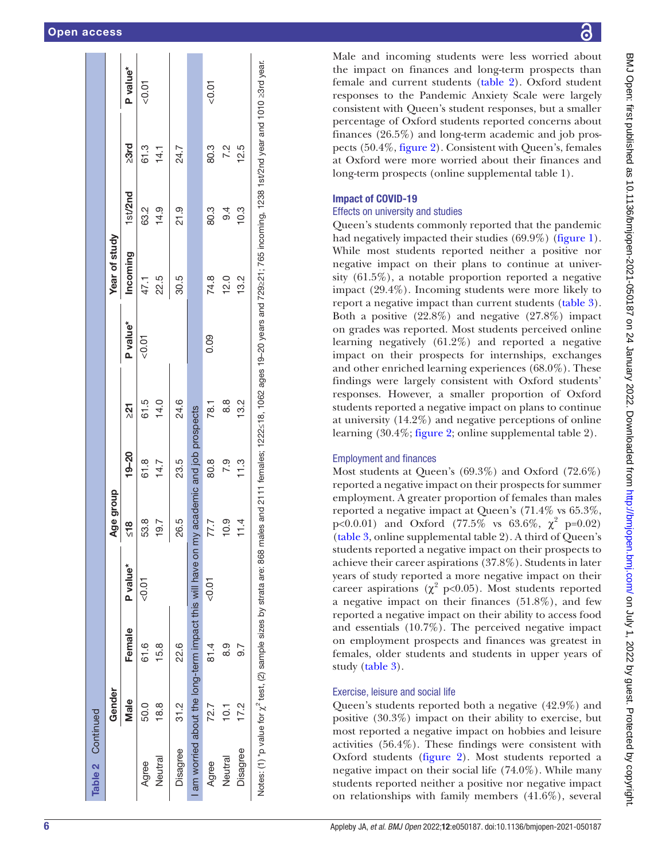| Table 2 Continued                                                                                                                                                                                |        |         |          |                |                              |                |          |               |         |      |          |
|--------------------------------------------------------------------------------------------------------------------------------------------------------------------------------------------------|--------|---------|----------|----------------|------------------------------|----------------|----------|---------------|---------|------|----------|
|                                                                                                                                                                                                  | Gender |         |          | Age group      |                              |                |          | Year of study |         |      |          |
|                                                                                                                                                                                                  | Male   | Female  | P value* | $\frac{8}{10}$ | $19 - 20$                    | $\overline{2}$ | P value* | Incoming      | 1st/2nd | >3rd | P value* |
| Agree                                                                                                                                                                                            | 50.0   | 61.6    | $-0.01$  | 53.8           | 61.8                         | 61.5           | 50.07    | 47.1          | 63.2    | 61.3 | &0.01    |
| Neutral                                                                                                                                                                                          | 18.8   | 15.8    |          | 19.7<br>I      | 14.7                         | 14.0           |          | 22.5          | 14.9    | 14.1 |          |
| Disagree                                                                                                                                                                                         | 31.2   | 22.6    |          | 26.5           | 23.5                         | 24.6           |          | 30.5          | 21.9    | 24.7 |          |
| I am worried about the long-term impact this will have on m                                                                                                                                      |        |         |          |                | y academic and job prospects |                |          |               |         |      |          |
| Agree                                                                                                                                                                                            | 72.7   | 81.4    | $-0.01$  | 77.7           | 80.8                         | 78.1           | 0.09     | 74.8          | 80.3    | 80.3 | 0.01     |
| Neutral                                                                                                                                                                                          | 10.1   | 0.<br>ග |          | 10.9           | 7.9                          | 8.8            |          | 12.0          | 9.4     | 7.2  |          |
| Disagree                                                                                                                                                                                         | 17.2   | ⊙.<br>တ |          | 11.4           | 11.3                         | 13.2           |          | 13.2          | 10.3    | 12.5 |          |
| Notes: (1) *p value for $\chi^z$ test, (2) sample sizes by strata are: 868 mata are: 868 males and 222≤18, 1062 ages 19-20 years and 729s21; 765 incoming, 1238 1st/2nd year and 1010 ≥3rd year. |        |         |          |                |                              |                |          |               |         |      |          |

BMJ Open: first published as 10.1136/bmjopen-2021-050187 on 24 January 2022. Downloaded from http://bmjopen.bmj.com/ on July 1, 2022 by guest. Protected by copyright BMJ Open: first published as 10.1136/bmjopen-2021-050187 on 24 January 2022. Downloaded from <http://bmjopen.bmj.com/> on July 1, 2022 by guest. Protected by copyright.

Male and incoming students were less worried about the impact on finances and long-term prospects than female and current students ([table](#page-4-0) 2). Oxford student responses to the Pandemic Anxiety Scale were largely consistent with Queen's student responses, but a smaller percentage of Oxford students reported concerns about finances (26.5%) and long-term academic and job pros pects (50.4%, [figure](#page-6-0) 2). Consistent with Queen's, females at Oxford were more worried about their finances and long-term prospects [\(online supplemental table 1](https://dx.doi.org/10.1136/bmjopen-2021-050187)).

# Impact of COVID-19

# Effects on university and studies

Queen's students commonly reported that the pandemic had negatively impacted their studies (69.9%) ([figure](#page-3-0) 1). While most students reported neither a positive nor negative impact on their plans to continue at university (61.5%), a notable proportion reported a negative impact (29.4%). Incoming students were more likely to report a negative impact than current students [\(table](#page-7-0) 3). Both a positive (22.8%) and negative (27.8%) impact on grades was reported. Most students perceived online learning negatively (61.2%) and reported a negative impact on their prospects for internships, exchanges and other enriched learning experiences (68.0%). These findings were largely consistent with Oxford students' responses. However, a smaller proportion of Oxford students reported a negative impact on plans to continue at university (14.2%) and negative perceptions of online learning (30.4%; [figure](#page-6-0) 2; [online supplemental table 2\)](https://dx.doi.org/10.1136/bmjopen-2021-050187).

# Employment and finances

Most students at Queen's (69.3%) and Oxford (72.6%) reported a negative impact on their prospects for summer employment. A greater proportion of females than males reported a negative impact at Queen's (71.4% vs 65.3%, p<0.0.01) and Oxford (77.5% vs 63.6%,  $\chi^2$  p=0.02) [\(table](#page-7-0) 3, [online supplemental table 2\)](https://dx.doi.org/10.1136/bmjopen-2021-050187). A third of Queen's students reported a negative impact on their prospects to achieve their career aspirations (37.8%). Students in later years of study reported a more negative impact on their career aspirations ( $\chi^2$  p<0.05). Most students reported a negative impact on their finances (51.8%), and few reported a negative impact on their ability to access food and essentials (10.7%). The perceived negative impact on employment prospects and finances was greatest in females, older students and students in upper years of study [\(table](#page-7-0) 3).

#### Exercise, leisure and social life

Queen's students reported both a negative (42.9%) and positive (30.3%) impact on their ability to exercise, but most reported a negative impact on hobbies and leisure activities (56.4%). These findings were consistent with Oxford students ([figure](#page-6-0) 2). Most students reported a negative impact on their social life (74.0%). While many students reported neither a positive nor negative impact on relationships with family members (41.6%), several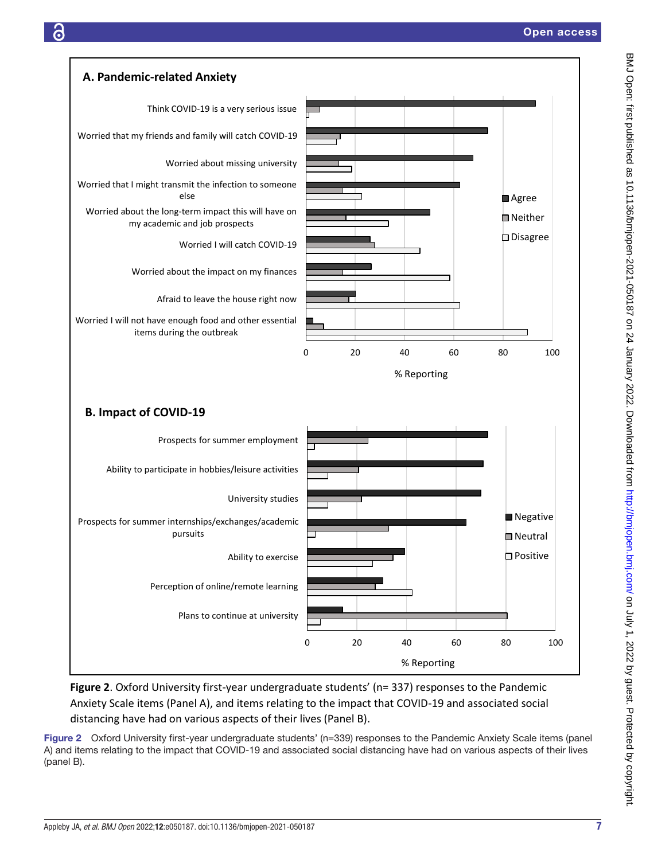

<span id="page-6-0"></span>**Figure 2**. Oxford University first-year undergraduate students' (n= 337) responses to the Pandemic Anxiety Scale items (Panel A), and items relating to the impact that COVID-19 and associated social distancing have had on various aspects of their lives (Panel B).

Figure 2 Oxford University first-year undergraduate students' (n=339) responses to the Pandemic Anxiety Scale items (panel A) and items relating to the impact that COVID-19 and associated social distancing have had on various aspects of their lives (panel B).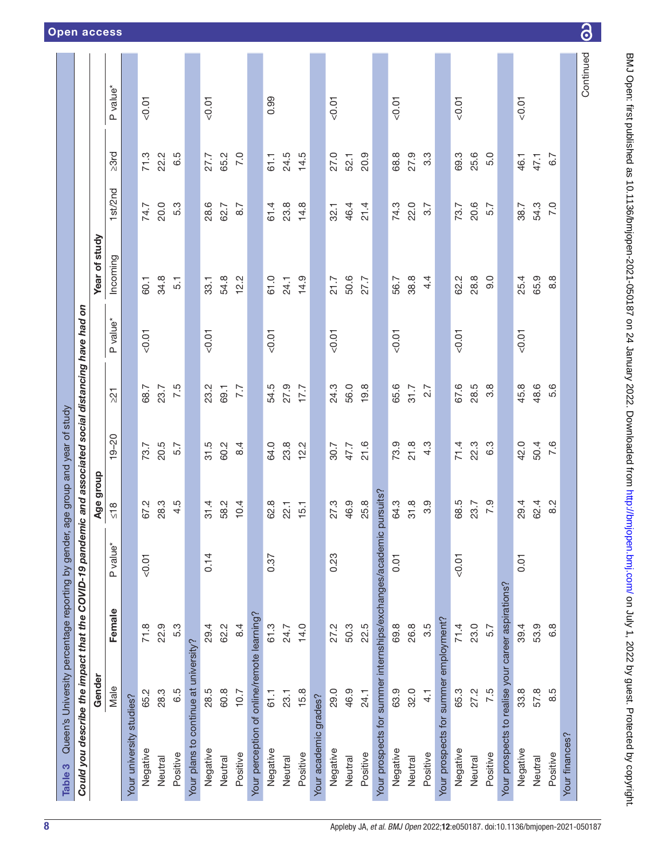<span id="page-7-0"></span>

| Could you describe the impact that the COVID-19 pandemic and associated social distancing have had on<br>Table 3 |               | Queen's University percentage reporting by gender, age group and year of study |                      |               |           |                 |                      |                  |         |             |                      |
|------------------------------------------------------------------------------------------------------------------|---------------|--------------------------------------------------------------------------------|----------------------|---------------|-----------|-----------------|----------------------|------------------|---------|-------------|----------------------|
|                                                                                                                  | Gender        |                                                                                |                      | Age group     |           |                 |                      | Year of study    |         |             |                      |
|                                                                                                                  | Male          | Female                                                                         | P value <sup>*</sup> | $\frac{8}{2}$ | $19 - 20$ | $\overline{21}$ | P value <sup>*</sup> | Incoming         | 1st/2nd | $\geq 3$ rd | P value <sup>*</sup> |
| Your university studies?                                                                                         |               |                                                                                |                      |               |           |                 |                      |                  |         |             |                      |
| Negative                                                                                                         | 65.2          | 71.8                                                                           | 0.07                 | 67.2          | 73.7      | 68.7            | $-0.01$              | 60.1             | 74.7    | 71.3        | 0.01                 |
| Neutral                                                                                                          | 28.3          | 22.9                                                                           |                      | 28.3          | 20.5      | 23.7            |                      | 34.8             | 20.0    | 22.2        |                      |
| Positive                                                                                                         | 6.5           | 5.3                                                                            |                      | 4.5           | 5.7       | 7.5             |                      | $\overline{5}$ . | 5.3     | 6.5         |                      |
| Your plans to continue at university?                                                                            |               |                                                                                |                      |               |           |                 |                      |                  |         |             |                      |
| Negative                                                                                                         | 28.5          | 29.4                                                                           | 0.14                 | 31.4          | 31.5      | 23.2            | 50.07                | 33.1             | 28.6    | 27.7        | < 0.01               |
| Neutral                                                                                                          | 60.8          | 62.2                                                                           |                      | 58.2          | 60.2      | 69.1            |                      | 54.8             | 62.7    | 65.2        |                      |
| Positive                                                                                                         | 10.7          | 8.4                                                                            |                      | 10.4          | 8.4       | 7.7             |                      | 12.2             | 8.7     | 7.0         |                      |
| Your perception of online/remote learning?                                                                       |               |                                                                                |                      |               |           |                 |                      |                  |         |             |                      |
| Negative                                                                                                         | 61.1          | 61.3                                                                           | 0.37                 | 62.8          | 64.0      | 54.5            | $-0.01$              | 61.0             | 61.4    | 61.1        | 0.99                 |
| Neutral                                                                                                          | 23.1          | 24.7                                                                           |                      | 22.1          | 23.8      | 27.9            |                      | 24.1             | 23.8    | 24.5        |                      |
| Positive                                                                                                         | 15.8          | 14.0                                                                           |                      | 15.1          | 12.2      | 17.7            |                      | 14.9             | 14.8    | 14.5        |                      |
| Your academic grades?                                                                                            |               |                                                                                |                      |               |           |                 |                      |                  |         |             |                      |
| Negative                                                                                                         | 29.0          | 27.2                                                                           | 0.23                 | 27.3          | 30.7      | 24.3            | $-0.01$              | 21.7             | 32.1    | 27.0        | < 0.01               |
| Neutral                                                                                                          | 46.9          | 50.3                                                                           |                      | 46.9          | 47.7      | 56.0            |                      | 50.6             | 46.4    | 52.1        |                      |
| Positive                                                                                                         | 24.1          | 22.5                                                                           |                      | 25.8          | 21.6      | 19.8            |                      | 27.7             | 21.4    | 20.9        |                      |
| Your prospects for summer internships/exchanges/academic pursuits?                                               |               |                                                                                |                      |               |           |                 |                      |                  |         |             |                      |
| Negative                                                                                                         | 63.9          | 69.8                                                                           | 0.01                 | 64.3          | 73.9      | 65.6            | $-0.01$              | 56.7             | 74.3    | 68.8        | 0.01                 |
| Neutral                                                                                                          | 32.0          | 26.8                                                                           |                      | 31.8          | 21.8      | 31.7            |                      | 38.8             | 22.0    | 27.9        |                      |
| Positive                                                                                                         | $\frac{1}{4}$ | 3.5                                                                            |                      | 3.9           | 4.3       | 2.7             |                      | 4.4              | 3.7     | 3.3         |                      |
| Your prospects for summer employment?                                                                            |               |                                                                                |                      |               |           |                 |                      |                  |         |             |                      |
| Negative                                                                                                         | 65.3          | 71.4                                                                           | 10.07                | 68.5          | 71.4      | 67.6            | $-0.01$              | 62.2             | 73.7    | 69.3        | < 0.01               |
| Neutral                                                                                                          | 27.2          | 23.0                                                                           |                      | 23.7          | 22.3      | 28.5            |                      | 28.8             | 20.6    | 25.6        |                      |
| Positive                                                                                                         | 7.5           | 5.7                                                                            |                      | 7.9           | 6.3       | 3.8             |                      | 0.6              | 5.7     | 5.0         |                      |
| Your prospects to realise your career aspirations?                                                               |               |                                                                                |                      |               |           |                 |                      |                  |         |             |                      |
| Negative                                                                                                         | 33.8          | 39.4                                                                           | 0.01                 | 29.4          | 42.0      | 45.8            | $-0.01$              | 25.4             | 38.7    | 46.1        | < 0.01               |
| Neutral                                                                                                          | 57.8          | 53.9                                                                           |                      | 62.4          | 50.4      | 48.6            |                      | 65.9             | 54.3    | 47.1        |                      |
| Positive                                                                                                         | 8.5           | $6.\overline{8}$                                                               |                      | $\frac{2}{8}$ | 7.6       | 5.6             |                      | $\frac{8}{8}$    | 7.0     | 6.7         |                      |
| Your finances?                                                                                                   |               |                                                                                |                      |               |           |                 |                      |                  |         |             |                      |
|                                                                                                                  |               |                                                                                |                      |               |           |                 |                      |                  |         |             | Continued            |

BMJ Open: first published as 10.1136/bmjopen-2021-050187 on 24 January 2022. Downloaded from <http://bmjopen.bmj.com/> on July 1, 2022 by guest. Protected by copyright.

 $\overline{\partial}$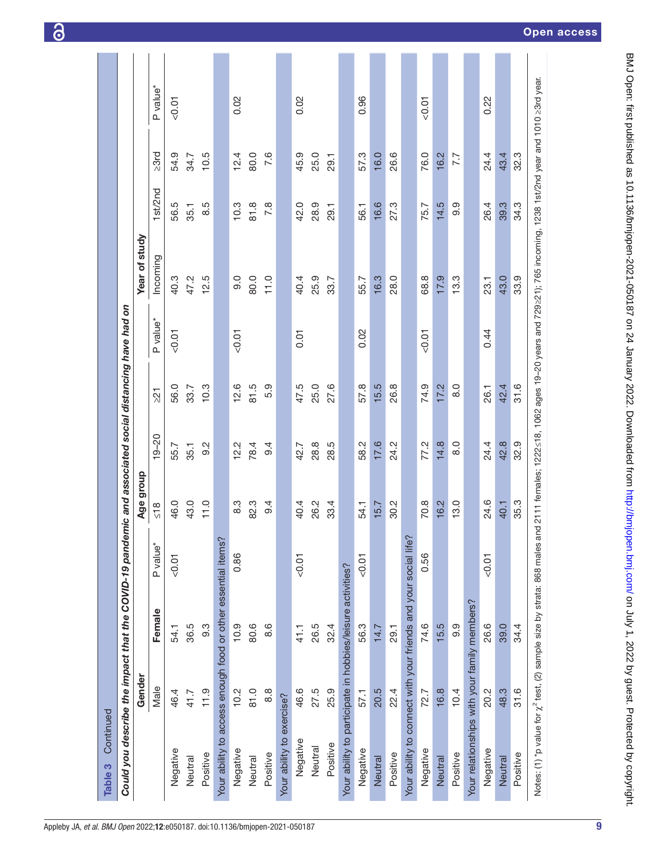| Continued<br>Table 3                         |        |                                                                                                       |                      |               |               |                 |                      |                                                                                                                                                                                               |         |      |                      |
|----------------------------------------------|--------|-------------------------------------------------------------------------------------------------------|----------------------|---------------|---------------|-----------------|----------------------|-----------------------------------------------------------------------------------------------------------------------------------------------------------------------------------------------|---------|------|----------------------|
|                                              |        | Could you describe the impact that the COVID-19 pandemic and associated social distancing have had on |                      |               |               |                 |                      |                                                                                                                                                                                               |         |      |                      |
|                                              | Gender |                                                                                                       |                      | Age group     |               |                 |                      | Year of study                                                                                                                                                                                 |         |      |                      |
|                                              | Male   | Female                                                                                                | P value <sup>*</sup> | $\frac{8}{2}$ | $19 - 20$     | $\overline{21}$ | P value <sup>*</sup> | Incoming                                                                                                                                                                                      | 1st/2nd | 23rd | P value <sup>*</sup> |
| Negative                                     | 46.4   | 54.1                                                                                                  | $-0.01$              | 46.0          | 55.7          | 56.0            | $-0.01$              | 40.3                                                                                                                                                                                          | 56.5    | 54.9 | 0.01                 |
| Neutral                                      | 41.7   | 36.5                                                                                                  |                      | 43.0          | 35.1          | 33.7            |                      | 47.2                                                                                                                                                                                          | 35.1    | 34.7 |                      |
| Positive                                     | 11.9   | $9.\overline{3}$                                                                                      |                      | 11.0          | 9.2           | 10.3            |                      | 12.5                                                                                                                                                                                          | 8.5     | 10.5 |                      |
|                                              |        | Your ability to access enough food or other essential items?                                          |                      |               |               |                 |                      |                                                                                                                                                                                               |         |      |                      |
| Negative                                     | 10.2   | 10.9                                                                                                  | 0.86                 | 8.3           | 12.2          | 12.6            | $-0.01$              | 0.6                                                                                                                                                                                           | 10.3    | 12.4 | 0.02                 |
| Neutral                                      | 81.0   | 80.6                                                                                                  |                      | 82.3          | 78.4          | 81.5            |                      | 80.0                                                                                                                                                                                          | 81.8    | 80.0 |                      |
| Positive                                     | 8.8    | 8.6                                                                                                   |                      | 9.4           | 9.4           | 5.9             |                      | 11.0                                                                                                                                                                                          | 7.8     | 7.6  |                      |
| Your ability to exercise?                    |        |                                                                                                       |                      |               |               |                 |                      |                                                                                                                                                                                               |         |      |                      |
| Negative                                     | 46.6   | 41.1                                                                                                  | 0.01                 | 40.4          | 42.7          | 47.5            | 5.01                 | 40.4                                                                                                                                                                                          | 42.0    | 45.9 | 0.02                 |
| Neutral                                      | 27.5   | 26.5                                                                                                  |                      | 26.2          | 28.8          | 25.0            |                      | 25.9                                                                                                                                                                                          | 28.9    | 25.0 |                      |
| Positive                                     | 25.9   | 32.4                                                                                                  |                      | 33.4          | 28.5          | 27.6            |                      | 33.7                                                                                                                                                                                          | 29.1    | 29.1 |                      |
|                                              |        | Your ability to participate in hobbies/leisure activities?                                            |                      |               |               |                 |                      |                                                                                                                                                                                               |         |      |                      |
| Negative                                     | 57.1   | 56.3                                                                                                  | $-0.01$              | 54.1          | 58.2          | 57.8            | 0.02                 | 55.7                                                                                                                                                                                          | 56.1    | 57.3 | 0.96                 |
| Neutral                                      | 20.5   | 14.7                                                                                                  |                      | 15.7          | 17.6          | 15.5            |                      | 16.3                                                                                                                                                                                          | 16.6    | 16.0 |                      |
| Positive                                     | 22.4   | 29.1                                                                                                  |                      | 30.2          | 24.2          | 26.8            |                      | 28.0                                                                                                                                                                                          | 27.3    | 26.6 |                      |
|                                              |        | Your ability to connect with your friends and your social life?                                       |                      |               |               |                 |                      |                                                                                                                                                                                               |         |      |                      |
| Negative                                     | 72.7   | 74.6                                                                                                  | 0.56                 | 70.8          | 77.2          | 74.9            | 10.07                | 68.8                                                                                                                                                                                          | 75.7    | 76.0 | 0.01                 |
| Neutral                                      | 16.8   | 15.5                                                                                                  |                      | 16.2          | 14.8          | 17.2            |                      | 17.9                                                                                                                                                                                          | 14.5    | 16.2 |                      |
| Positive                                     | 10.4   | 9.9                                                                                                   |                      | 13.0          | $\frac{0}{8}$ | $\frac{0}{8}$   |                      | 13.3                                                                                                                                                                                          | 9.9     | 7.7  |                      |
| Your relationships with your family members? |        |                                                                                                       |                      |               |               |                 |                      |                                                                                                                                                                                               |         |      |                      |
| Negative                                     | 20.2   | 26.6                                                                                                  | $-0.01$              | 24.6          | 24.4          | 26.1            | 0.44                 | 23.1                                                                                                                                                                                          | 26.4    | 24.4 | 0.22                 |
| Neutral                                      | 48.3   | 39.0                                                                                                  |                      | 40.1          | 42.8          | 42.4            |                      | 43.0                                                                                                                                                                                          | 39.3    | 43.4 |                      |
| Positive                                     | 31.6   | 34.4                                                                                                  |                      | 35.3          | 32.9          | 31.6            |                      | 33.9                                                                                                                                                                                          | 34.3    | 32.3 |                      |
|                                              |        |                                                                                                       |                      |               |               |                 |                      | Notes: (1) *p value for $\chi^2$ test, (2) sample size by strata: 868 males and 2111 females; 1222≤18, 1062 ages 19-20 years and 729≥21); 765 incoming, 1238 1st/2nd year and 1010 ≥3rd year. |         |      |                      |

6

9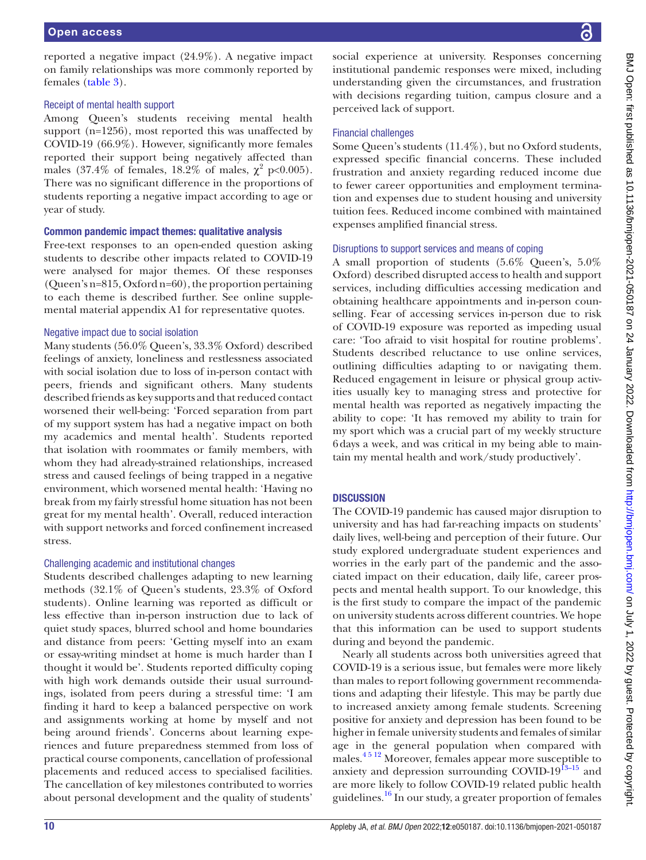reported a negative impact (24.9%). A negative impact on family relationships was more commonly reported by females [\(table](#page-7-0) 3).

### Receipt of mental health support

Among Queen's students receiving mental health support (n=1256), most reported this was unaffected by COVID-19 (66.9%). However, significantly more females reported their support being negatively affected than males (37.4% of females, 18.2% of males,  $\chi^2$  p<0.005). There was no significant difference in the proportions of students reporting a negative impact according to age or year of study.

# Common pandemic impact themes: qualitative analysis

Free-text responses to an open-ended question asking students to describe other impacts related to COVID-19 were analysed for major themes. Of these responses (Queen's n=815, Oxford n=60), the proportion pertaining to each theme is described further. See [online supple](https://dx.doi.org/10.1136/bmjopen-2021-050187)[mental material appendix A1](https://dx.doi.org/10.1136/bmjopen-2021-050187) for representative quotes.

# Negative impact due to social isolation

Many students (56.0% Queen's, 33.3% Oxford) described feelings of anxiety, loneliness and restlessness associated with social isolation due to loss of in-person contact with peers, friends and significant others. Many students described friends as key supports and that reduced contact worsened their well-being: 'Forced separation from part of my support system has had a negative impact on both my academics and mental health'. Students reported that isolation with roommates or family members, with whom they had already-strained relationships, increased stress and caused feelings of being trapped in a negative environment, which worsened mental health: 'Having no break from my fairly stressful home situation has not been great for my mental health'. Overall, reduced interaction with support networks and forced confinement increased stress.

# Challenging academic and institutional changes

Students described challenges adapting to new learning methods (32.1% of Queen's students, 23.3% of Oxford students). Online learning was reported as difficult or less effective than in-person instruction due to lack of quiet study spaces, blurred school and home boundaries and distance from peers: 'Getting myself into an exam or essay-writing mindset at home is much harder than I thought it would be'. Students reported difficulty coping with high work demands outside their usual surroundings, isolated from peers during a stressful time: 'I am finding it hard to keep a balanced perspective on work and assignments working at home by myself and not being around friends'. Concerns about learning experiences and future preparedness stemmed from loss of practical course components, cancellation of professional placements and reduced access to specialised facilities. The cancellation of key milestones contributed to worries about personal development and the quality of students'

social experience at university. Responses concerning institutional pandemic responses were mixed, including understanding given the circumstances, and frustration with decisions regarding tuition, campus closure and a perceived lack of support.

# Financial challenges

Some Queen's students (11.4%), but no Oxford students, expressed specific financial concerns. These included frustration and anxiety regarding reduced income due to fewer career opportunities and employment termination and expenses due to student housing and university tuition fees. Reduced income combined with maintained expenses amplified financial stress.

# Disruptions to support services and means of coping

A small proportion of students (5.6% Queen's, 5.0% Oxford) described disrupted access to health and support services, including difficulties accessing medication and obtaining healthcare appointments and in-person counselling. Fear of accessing services in-person due to risk of COVID-19 exposure was reported as impeding usual care: 'Too afraid to visit hospital for routine problems'. Students described reluctance to use online services, outlining difficulties adapting to or navigating them. Reduced engagement in leisure or physical group activities usually key to managing stress and protective for mental health was reported as negatively impacting the ability to cope: 'It has removed my ability to train for my sport which was a crucial part of my weekly structure 6days a week, and was critical in my being able to maintain my mental health and work/study productively'.

# **DISCUSSION**

The COVID-19 pandemic has caused major disruption to university and has had far-reaching impacts on students' daily lives, well-being and perception of their future. Our study explored undergraduate student experiences and worries in the early part of the pandemic and the associated impact on their education, daily life, career prospects and mental health support. To our knowledge, this is the first study to compare the impact of the pandemic on university students across different countries. We hope that this information can be used to support students during and beyond the pandemic.

Nearly all students across both universities agreed that COVID-19 is a serious issue, but females were more likely than males to report following government recommendations and adapting their lifestyle. This may be partly due to increased anxiety among female students. Screening positive for anxiety and depression has been found to be higher in female university students and females of similar age in the general population when compared with males[.4 5 12](#page-11-3) Moreover, females appear more susceptible to anxiety and depression surrounding COVID-19 $^{13-15}$  and are more likely to follow COVID-19 related public health guidelines.<sup>16</sup> In our study, a greater proportion of females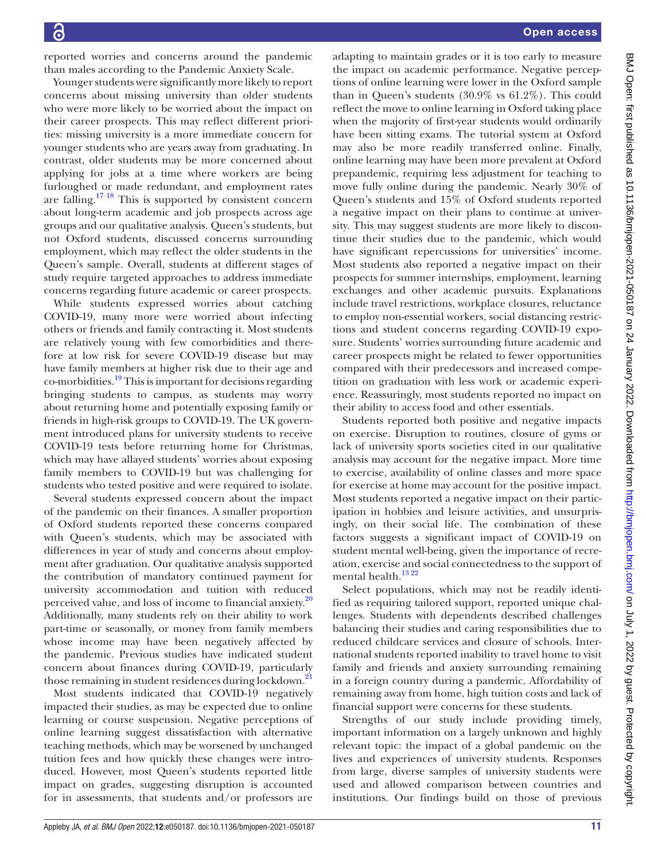reported worries and concerns around the pandemic than males according to the Pandemic Anxiety Scale.

Younger students were significantly more likely to report concerns about missing university than older students who were more likely to be worried about the impact on their career prospects. This may reflect different priorities: missing university is a more immediate concern for younger students who are years away from graduating. In contrast, older students may be more concerned about applying for jobs at a time where workers are being furloughed or made redundant, and employment rates are falling.<sup>17 18</sup> This is supported by consistent concern about long-term academic and job prospects across age groups and our qualitative analysis. Queen's students, but not Oxford students, discussed concerns surrounding employment, which may reflect the older students in the Queen's sample. Overall, students at different stages of study require targeted approaches to address immediate concerns regarding future academic or career prospects.

While students expressed worries about catching COVID-19, many more were worried about infecting others or friends and family contracting it. Most students are relatively young with few comorbidities and therefore at low risk for severe COVID-19 disease but may have family members at higher risk due to their age and co-morbidities.<sup>[19](#page-12-8)</sup> This is important for decisions regarding bringing students to campus, as students may worry about returning home and potentially exposing family or friends in high-risk groups to COVID-19. The UK government introduced plans for university students to receive COVID-19 tests before returning home for Christmas, which may have allayed students' worries about exposing family members to COVID-19 but was challenging for students who tested positive and were required to isolate.

Several students expressed concern about the impact of the pandemic on their finances. A smaller proportion of Oxford students reported these concerns compared with Queen's students, which may be associated with differences in year of study and concerns about employment after graduation. Our qualitative analysis supported the contribution of mandatory continued payment for university accommodation and tuition with reduced perceived value, and loss of income to financial anxiety.<sup>20</sup> Additionally, many students rely on their ability to work part-time or seasonally, or money from family members whose income may have been negatively affected by the pandemic. Previous studies have indicated student concern about finances during COVID-19, particularly those remaining in student residences during lockdown.<sup>21</sup>

Most students indicated that COVID-19 negatively impacted their studies, as may be expected due to online learning or course suspension. Negative perceptions of online learning suggest dissatisfaction with alternative teaching methods, which may be worsened by unchanged tuition fees and how quickly these changes were introduced. However, most Queen's students reported little impact on grades, suggesting disruption is accounted for in assessments, that students and/or professors are

adapting to maintain grades or it is too early to measure the impact on academic performance. Negative perceptions of online learning were lower in the Oxford sample than in Queen's students (30.9% vs 61.2%). This could reflect the move to online learning in Oxford taking place when the majority of first-year students would ordinarily have been sitting exams. The tutorial system at Oxford may also be more readily transferred online. Finally, online learning may have been more prevalent at Oxford prepandemic, requiring less adjustment for teaching to move fully online during the pandemic. Nearly 30% of Queen's students and 15% of Oxford students reported a negative impact on their plans to continue at university. This may suggest students are more likely to discontinue their studies due to the pandemic, which would have significant repercussions for universities' income. Most students also reported a negative impact on their prospects for summer internships, employment, learning exchanges and other academic pursuits. Explanations include travel restrictions, workplace closures, reluctance to employ non-essential workers, social distancing restrictions and student concerns regarding COVID-19 exposure. Students' worries surrounding future academic and career prospects might be related to fewer opportunities compared with their predecessors and increased competition on graduation with less work or academic experience. Reassuringly, most students reported no impact on their ability to access food and other essentials.

Students reported both positive and negative impacts on exercise. Disruption to routines, closure of gyms or lack of university sports societies cited in our qualitative analysis may account for the negative impact. More time to exercise, availability of online classes and more space for exercise at home may account for the positive impact. Most students reported a negative impact on their participation in hobbies and leisure activities, and unsurprisingly, on their social life. The combination of these factors suggests a significant impact of COVID-19 on student mental well-being, given the importance of recreation, exercise and social connectedness to the support of mental health.<sup>13 22</sup>

Select populations, which may not be readily identified as requiring tailored support, reported unique challenges. Students with dependents described challenges balancing their studies and caring responsibilities due to reduced childcare services and closure of schools. International students reported inability to travel home to visit family and friends and anxiety surrounding remaining in a foreign country during a pandemic. Affordability of remaining away from home, high tuition costs and lack of financial support were concerns for these students.

Strengths of our study include providing timely, important information on a largely unknown and highly relevant topic: the impact of a global pandemic on the lives and experiences of university students. Responses from large, diverse samples of university students were used and allowed comparison between countries and institutions. Our findings build on those of previous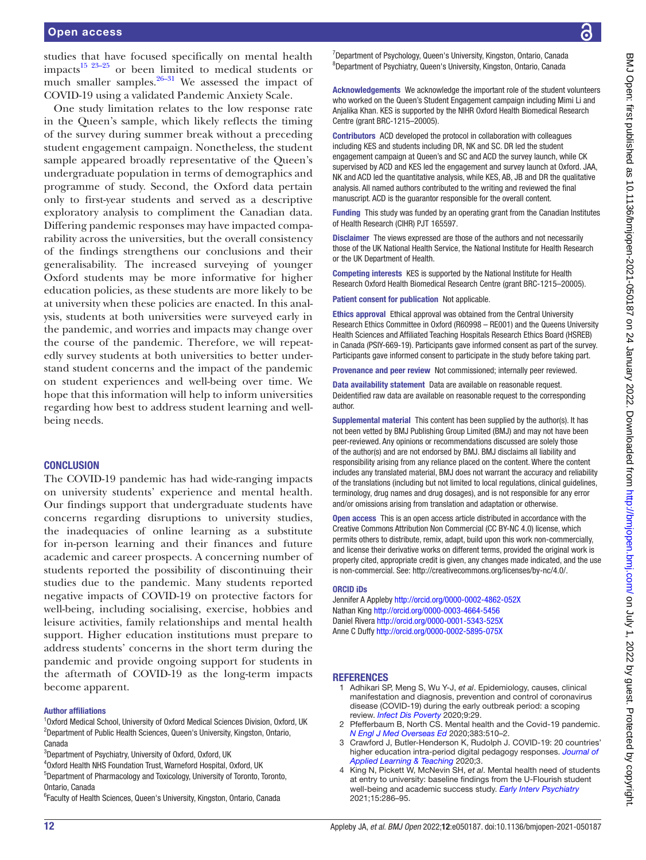studies that have focused specifically on mental health impacts<sup>[15 23–25](#page-12-11)</sup> or been limited to medical students or much smaller samples. $26-31$  We assessed the impact of COVID-19 using a validated Pandemic Anxiety Scale.

One study limitation relates to the low response rate in the Queen's sample, which likely reflects the timing of the survey during summer break without a preceding student engagement campaign. Nonetheless, the student sample appeared broadly representative of the Queen's undergraduate population in terms of demographics and programme of study. Second, the Oxford data pertain only to first-year students and served as a descriptive exploratory analysis to compliment the Canadian data. Differing pandemic responses may have impacted comparability across the universities, but the overall consistency of the findings strengthens our conclusions and their generalisability. The increased surveying of younger Oxford students may be more informative for higher education policies, as these students are more likely to be at university when these policies are enacted. In this analysis, students at both universities were surveyed early in the pandemic, and worries and impacts may change over the course of the pandemic. Therefore, we will repeatedly survey students at both universities to better understand student concerns and the impact of the pandemic on student experiences and well-being over time. We hope that this information will help to inform universities regarding how best to address student learning and wellbeing needs.

#### **CONCLUSION**

The COVID-19 pandemic has had wide-ranging impacts on university students' experience and mental health. Our findings support that undergraduate students have concerns regarding disruptions to university studies, the inadequacies of online learning as a substitute for in-person learning and their finances and future academic and career prospects. A concerning number of students reported the possibility of discontinuing their studies due to the pandemic. Many students reported negative impacts of COVID-19 on protective factors for well-being, including socialising, exercise, hobbies and leisure activities, family relationships and mental health support. Higher education institutions must prepare to address students' concerns in the short term during the pandemic and provide ongoing support for students in the aftermath of COVID-19 as the long-term impacts become apparent.

#### Author affiliations

<sup>1</sup>Oxford Medical School, University of Oxford Medical Sciences Division, Oxford, UK <sup>2</sup>Department of Public Health Sciences, Queen's University, Kingston, Ontario, Canada

<sup>3</sup>Department of Psychiatry, University of Oxford, Oxford, UK

4 Oxford Health NHS Foundation Trust, Warneford Hospital, Oxford, UK

5 Department of Pharmacology and Toxicology, University of Toronto, Toronto, Ontario, Canada

<sup>6</sup> Faculty of Health Sciences, Queen's University, Kingston, Ontario, Canada

Acknowledgements We acknowledge the important role of the student volunteers who worked on the Queen's Student Engagement campaign including Mimi Li and Anjalika Khan. KES is supported by the NIHR Oxford Health Biomedical Research Centre (grant BRC-1215–20005).

Contributors ACD developed the protocol in collaboration with colleagues including KES and students including DR, NK and SC. DR led the student engagement campaign at Queen's and SC and ACD the survey launch, while CK supervised by ACD and KES led the engagement and survey launch at Oxford. JAA, NK and ACD led the quantitative analysis, while KES, AB, JB and DR the qualitative analysis. All named authors contributed to the writing and reviewed the final manuscript. ACD is the guarantor responsible for the overall content.

Funding This study was funded by an operating grant from the Canadian Institutes of Health Research (CIHR) PJT 165597.

Disclaimer The views expressed are those of the authors and not necessarily those of the UK National Health Service, the National Institute for Health Research or the UK Department of Health.

Competing interests KES is supported by the National Institute for Health Research Oxford Health Biomedical Research Centre (grant BRC-1215–20005).

Patient consent for publication Not applicable.

Ethics approval Ethical approval was obtained from the Central University Research Ethics Committee in Oxford (R60998 – RE001) and the Queens University Health Sciences and Affiliated Teaching Hospitals Research Ethics Board (HSREB) in Canada (PSIY-669-19). Participants gave informed consent as part of the survey. Participants gave informed consent to participate in the study before taking part.

Provenance and peer review Not commissioned; internally peer reviewed.

Data availability statement Data are available on reasonable request. Deidentified raw data are available on reasonable request to the corresponding author.

Supplemental material This content has been supplied by the author(s). It has not been vetted by BMJ Publishing Group Limited (BMJ) and may not have been peer-reviewed. Any opinions or recommendations discussed are solely those of the author(s) and are not endorsed by BMJ. BMJ disclaims all liability and responsibility arising from any reliance placed on the content. Where the content includes any translated material, BMJ does not warrant the accuracy and reliability of the translations (including but not limited to local regulations, clinical guidelines, terminology, drug names and drug dosages), and is not responsible for any error and/or omissions arising from translation and adaptation or otherwise.

Open access This is an open access article distributed in accordance with the Creative Commons Attribution Non Commercial (CC BY-NC 4.0) license, which permits others to distribute, remix, adapt, build upon this work non-commercially, and license their derivative works on different terms, provided the original work is properly cited, appropriate credit is given, any changes made indicated, and the use is non-commercial. See: [http://creativecommons.org/licenses/by-nc/4.0/.](http://creativecommons.org/licenses/by-nc/4.0/)

#### ORCID iDs

Jennifer A Appleby <http://orcid.org/0000-0002-4862-052X> Nathan King <http://orcid.org/0000-0003-4664-5456> Daniel Rivera <http://orcid.org/0000-0001-5343-525X> Anne C Duffy<http://orcid.org/0000-0002-5895-075X>

#### **REFERENCES**

- <span id="page-11-0"></span>1 Adhikari SP, Meng S, Wu Y-J, *et al*. Epidemiology, causes, clinical manifestation and diagnosis, prevention and control of coronavirus disease (COVID-19) during the early outbreak period: a scoping review. *[Infect Dis Poverty](http://dx.doi.org/10.1186/s40249-020-00646-x)* 2020;9:29.
- <span id="page-11-1"></span>2 Pfefferbaum B, North CS. Mental health and the Covid-19 pandemic. *[N Engl J Med Overseas Ed](http://dx.doi.org/10.1056/NEJMp2008017)* 2020;383:510–2.
- <span id="page-11-2"></span>3 Crawford J, Butler-Henderson K, Rudolph J. COVID-19: 20 countries' higher education intra-period digital pedagogy responses. *[Journal of](http://dx.doi.org/10.37074/jalt.2020.3.1.7)  [Applied Learning & Teaching](http://dx.doi.org/10.37074/jalt.2020.3.1.7)* 2020;3.
- <span id="page-11-3"></span>4 King N, Pickett W, McNevin SH, *et al*. Mental health need of students at entry to university: baseline findings from the U-Flourish student well-being and academic success study. *[Early Interv Psychiatry](http://dx.doi.org/10.1111/eip.12939)* 2021;15:286–95.